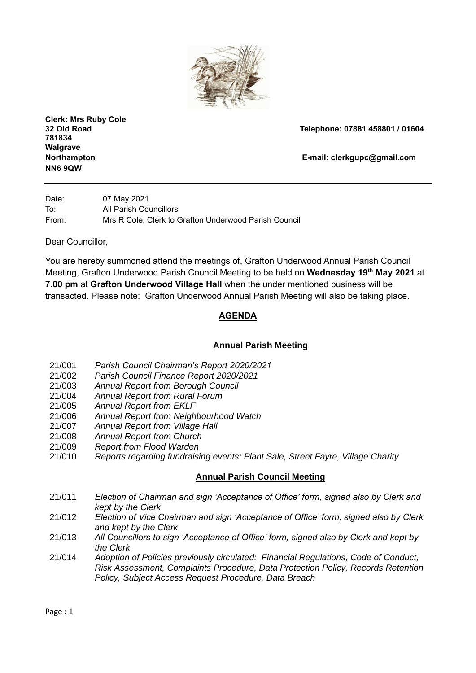

**Clerk: Mrs Ruby Cole 781834 Walgrave NN6 9QW**

**32 Old Road Telephone: 07881 458801 / 01604** 

**Northampton E-mail: [clerkgupc@gmail.com](mailto:clerkgupc@gmail.com)**

Date: 07 May 2021 To: All Parish Councillors From: Mrs R Cole, Clerk to Grafton Underwood Parish Council

Dear Councillor,

You are hereby summoned attend the meetings of, Grafton Underwood Annual Parish Council Meeting, Grafton Underwood Parish Council Meeting to be held on **Wednesday 19 th May 2021** at **7.00 pm** at **Grafton Underwood Village Hall** when the under mentioned business will be transacted. Please note: Grafton Underwood Annual Parish Meeting will also be taking place.

# **AGENDA**

## **Annual Parish Meeting**

- 21/001 *Parish Council Chairman's Report 2020/2021*
- 21/002 *Parish Council Finance Report 2020/2021*
- 21/003 *Annual Report from Borough Council*
- 21/004 *Annual Report from Rural Forum*
- 21/005 *Annual Report from EKLF*
- 21/006 *Annual Report from Neighbourhood Watch*
- 21/007 *Annual Report from Village Hall*
- 21/008 *Annual Report from Church*
- 21/009 *Report from Flood Warden*
- 21/010 *Reports regarding fundraising events: Plant Sale, Street Fayre, Village Charity*

## **Annual Parish Council Meeting**

- 21/011 *Election of Chairman and sign 'Acceptance of Office' form, signed also by Clerk and kept by the Clerk*
- 21/012 *Election of Vice Chairman and sign 'Acceptance of Office' form, signed also by Clerk and kept by the Clerk*
- 21/013 *All Councillors to sign 'Acceptance of Office' form, signed also by Clerk and kept by the Clerk*
- 21/014 *Adoption of Policies previously circulated: Financial Regulations, Code of Conduct, Risk Assessment, Complaints Procedure, Data Protection Policy, Records Retention Policy, Subject Access Request Procedure, Data Breach*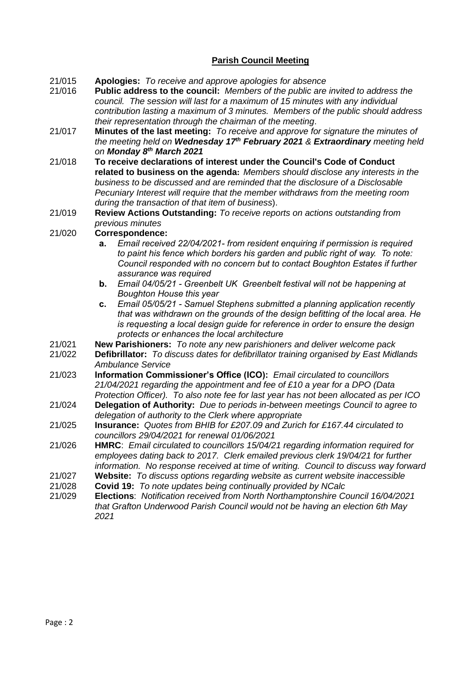## **Parish Council Meeting**

- 21/015 **Apologies:** *To receive and approve apologies for absence*
- 21/016 **Public address to the council:** *Members of the public are invited to address the council. The session will last for a maximum of 15 minutes with any individual contribution lasting a maximum of 3 minutes. Members of the public should address their representation through the chairman of the meeting*.
- 21/017 **Minutes of the last meeting:** *To receive and approve for signature the minutes of the meeting held on Wednesday 17 th February 2021 & Extraordinary meeting held on Monday 8th March 2021*
- 21/018 **To receive declarations of interest under the Council's Code of Conduct related to business on the agenda:** *Members should disclose any interests in the business to be discussed and are reminded that the disclosure of a Disclosable Pecuniary Interest will require that the member withdraws from the meeting room during the transaction of that item of business*).
- 21/019 **Review Actions Outstanding:** *To receive reports on actions outstanding from previous minutes*

#### 21/020 **Correspondence:**

- **a.** *Email received 22/04/2021- from resident enquiring if permission is required to paint his fence which borders his garden and public right of way. To note: Council responded with no concern but to contact Boughton Estates if further assurance was required*
- **b.** *Email 04/05/21 - Greenbelt UK Greenbelt festival will not be happening at Boughton House this year*
- **c.** *Email 05/05/21 - Samuel Stephens submitted a planning application recently that was withdrawn on the grounds of the design befitting of the local area. He is requesting a local design guide for reference in order to ensure the design protects or enhances the local architecture*
- 21/021 **New Parishioners:** *To note any new parishioners and deliver welcome pack*
- 21/022 **Defibrillator:** *To discuss dates for defibrillator training organised by East Midlands Ambulance Service*
- 21/023 **Information Commissioner's Office (ICO):** *Email circulated to councillors 21/04/2021 regarding the appointment and fee of £10 a year for a DPO (Data Protection Officer). To also note fee for last year has not been allocated as per ICO*
- 21/024 **Delegation of Authority:** *Due to periods in-between meetings Council to agree to delegation of authority to the Clerk where appropriate*
- 21/025 **Insurance:** *Quotes from BHIB for £207.09 and Zurich for £167.44 circulated to councillors 29/04/2021 for renewal 01/06/2021*
- 21/026 **HMRC**: *Email circulated to councillors 15/04/21 regarding information required for employees dating back to 2017. Clerk emailed previous clerk 19/04/21 for further information. No response received at time of writing. Council to discuss way forward*
- 21/027 **Website:** *To discuss options regarding website as current website inaccessible*
- 21/028 **Covid 19:** *To note updates being continually provided by NCalc*
- 21/029 **Elections**: *Notification received from North Northamptonshire Council 16/04/2021 that Grafton Underwood Parish Council would not be having an election 6th May 2021*